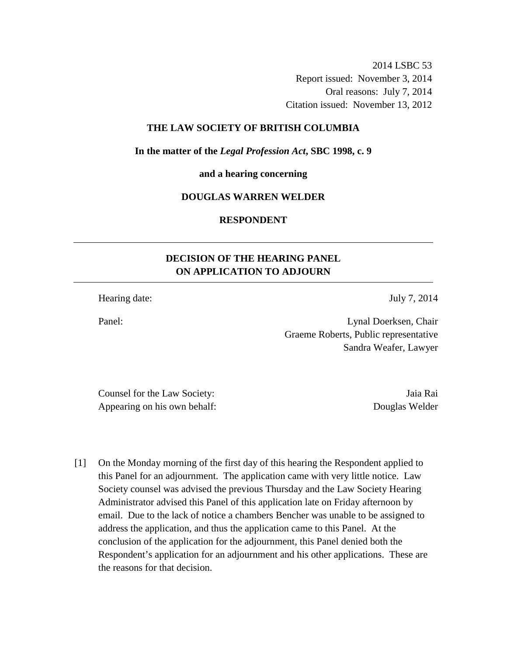2014 LSBC 53 Report issued: November 3, 2014 Oral reasons: July 7, 2014 Citation issued: November 13, 2012

## **THE LAW SOCIETY OF BRITISH COLUMBIA**

**In the matter of the** *Legal Profession Act***, SBC 1998, c. 9** 

**and a hearing concerning** 

### **DOUGLAS WARREN WELDER**

**RESPONDENT** 

# **DECISION OF THE HEARING PANEL ON APPLICATION TO ADJOURN**

Hearing date: July 7, 2014

Panel: Lynal Doerksen, Chair Graeme Roberts, Public representative Sandra Weafer, Lawyer

Counsel for the Law Society: Jaia Rai Appearing on his own behalf: Douglas Welder

[1] On the Monday morning of the first day of this hearing the Respondent applied to this Panel for an adjournment. The application came with very little notice. Law Society counsel was advised the previous Thursday and the Law Society Hearing Administrator advised this Panel of this application late on Friday afternoon by email. Due to the lack of notice a chambers Bencher was unable to be assigned to address the application, and thus the application came to this Panel. At the conclusion of the application for the adjournment, this Panel denied both the Respondent's application for an adjournment and his other applications. These are the reasons for that decision.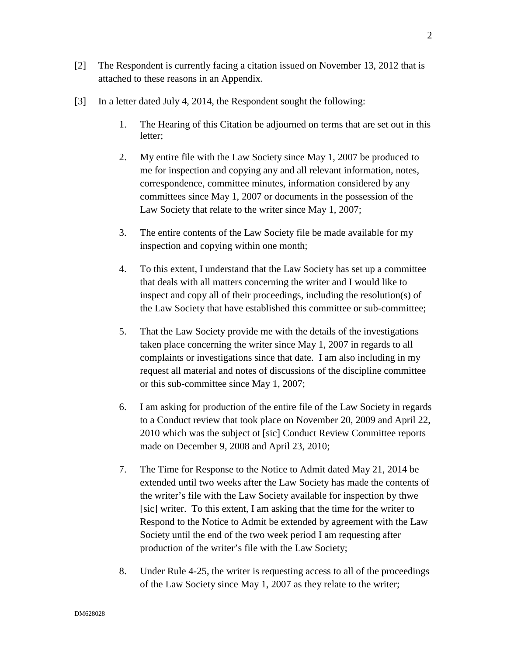- [2] The Respondent is currently facing a citation issued on November 13, 2012 that is attached to these reasons in an Appendix.
- [3] In a letter dated July 4, 2014, the Respondent sought the following:
	- 1. The Hearing of this Citation be adjourned on terms that are set out in this letter;
	- 2. My entire file with the Law Society since May 1, 2007 be produced to me for inspection and copying any and all relevant information, notes, correspondence, committee minutes, information considered by any committees since May 1, 2007 or documents in the possession of the Law Society that relate to the writer since May 1, 2007;
	- 3. The entire contents of the Law Society file be made available for my inspection and copying within one month;
	- 4. To this extent, I understand that the Law Society has set up a committee that deals with all matters concerning the writer and I would like to inspect and copy all of their proceedings, including the resolution(s) of the Law Society that have established this committee or sub-committee;
	- 5. That the Law Society provide me with the details of the investigations taken place concerning the writer since May 1, 2007 in regards to all complaints or investigations since that date. I am also including in my request all material and notes of discussions of the discipline committee or this sub-committee since May 1, 2007;
	- 6. I am asking for production of the entire file of the Law Society in regards to a Conduct review that took place on November 20, 2009 and April 22, 2010 which was the subject ot [sic] Conduct Review Committee reports made on December 9, 2008 and April 23, 2010;
	- 7. The Time for Response to the Notice to Admit dated May 21, 2014 be extended until two weeks after the Law Society has made the contents of the writer's file with the Law Society available for inspection by thwe [sic] writer. To this extent, I am asking that the time for the writer to Respond to the Notice to Admit be extended by agreement with the Law Society until the end of the two week period I am requesting after production of the writer's file with the Law Society;
	- 8. Under Rule 4-25, the writer is requesting access to all of the proceedings of the Law Society since May 1, 2007 as they relate to the writer;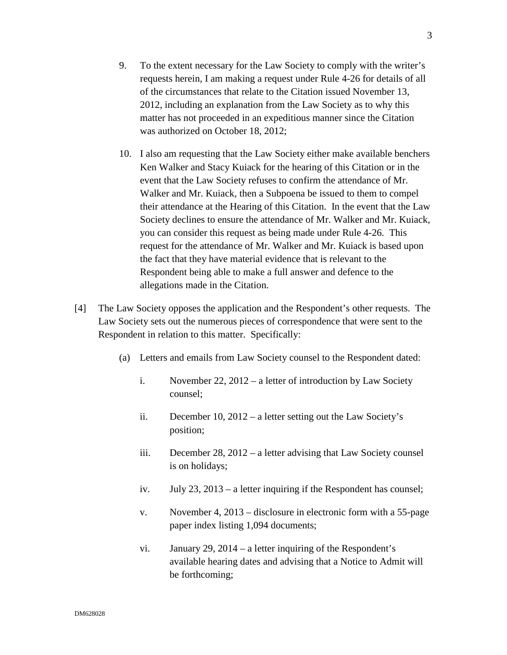- 9. To the extent necessary for the Law Society to comply with the writer's requests herein, I am making a request under Rule 4-26 for details of all of the circumstances that relate to the Citation issued November 13, 2012, including an explanation from the Law Society as to why this matter has not proceeded in an expeditious manner since the Citation was authorized on October 18, 2012;
- 10. I also am requesting that the Law Society either make available benchers Ken Walker and Stacy Kuiack for the hearing of this Citation or in the event that the Law Society refuses to confirm the attendance of Mr. Walker and Mr. Kuiack, then a Subpoena be issued to them to compel their attendance at the Hearing of this Citation. In the event that the Law Society declines to ensure the attendance of Mr. Walker and Mr. Kuiack, you can consider this request as being made under Rule 4-26. This request for the attendance of Mr. Walker and Mr. Kuiack is based upon the fact that they have material evidence that is relevant to the Respondent being able to make a full answer and defence to the allegations made in the Citation.
- [4] The Law Society opposes the application and the Respondent's other requests. The Law Society sets out the numerous pieces of correspondence that were sent to the Respondent in relation to this matter. Specifically:
	- (a) Letters and emails from Law Society counsel to the Respondent dated:
		- i. November 22, 2012 a letter of introduction by Law Society counsel;
		- ii. December 10, 2012 a letter setting out the Law Society's position;
		- iii. December 28, 2012 a letter advising that Law Society counsel is on holidays;
		- iv. July 23, 2013 a letter inquiring if the Respondent has counsel;
		- v. November 4, 2013 disclosure in electronic form with a 55-page paper index listing 1,094 documents;
		- vi. January 29, 2014 a letter inquiring of the Respondent's available hearing dates and advising that a Notice to Admit will be forthcoming;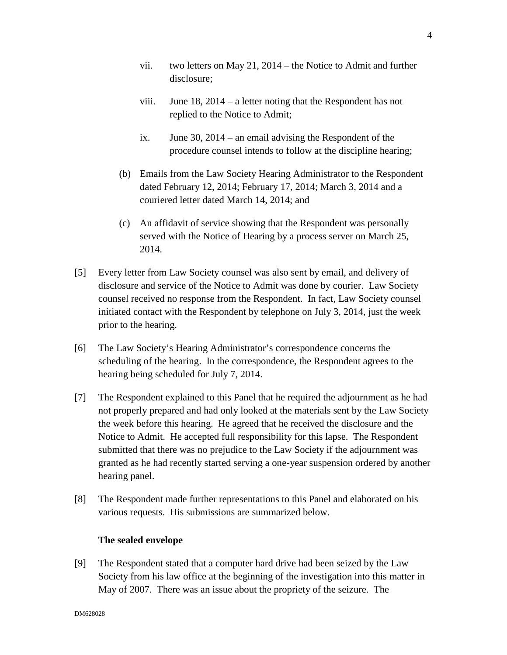- vii. two letters on May 21, 2014 the Notice to Admit and further disclosure;
- viii. June 18, 2014 a letter noting that the Respondent has not replied to the Notice to Admit;
- ix. June 30, 2014 an email advising the Respondent of the procedure counsel intends to follow at the discipline hearing;
- (b) Emails from the Law Society Hearing Administrator to the Respondent dated February 12, 2014; February 17, 2014; March 3, 2014 and a couriered letter dated March 14, 2014; and
- (c) An affidavit of service showing that the Respondent was personally served with the Notice of Hearing by a process server on March 25, 2014.
- [5] Every letter from Law Society counsel was also sent by email, and delivery of disclosure and service of the Notice to Admit was done by courier. Law Society counsel received no response from the Respondent. In fact, Law Society counsel initiated contact with the Respondent by telephone on July 3, 2014, just the week prior to the hearing.
- [6] The Law Society's Hearing Administrator's correspondence concerns the scheduling of the hearing. In the correspondence, the Respondent agrees to the hearing being scheduled for July 7, 2014.
- [7] The Respondent explained to this Panel that he required the adjournment as he had not properly prepared and had only looked at the materials sent by the Law Society the week before this hearing. He agreed that he received the disclosure and the Notice to Admit. He accepted full responsibility for this lapse. The Respondent submitted that there was no prejudice to the Law Society if the adjournment was granted as he had recently started serving a one-year suspension ordered by another hearing panel.
- [8] The Respondent made further representations to this Panel and elaborated on his various requests. His submissions are summarized below.

# **The sealed envelope**

[9] The Respondent stated that a computer hard drive had been seized by the Law Society from his law office at the beginning of the investigation into this matter in May of 2007. There was an issue about the propriety of the seizure. The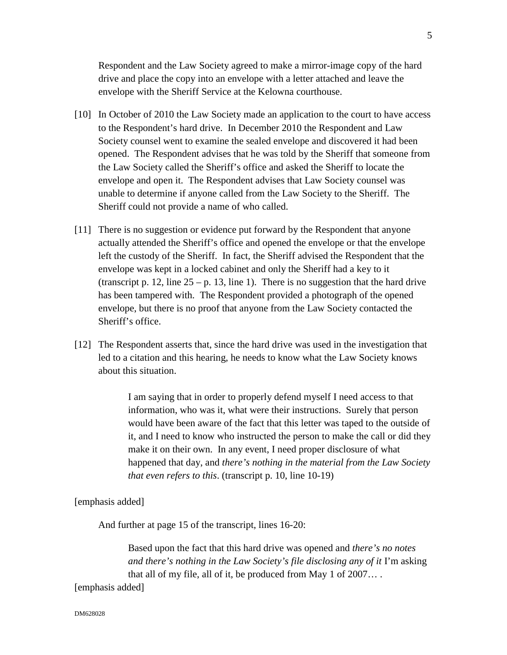Respondent and the Law Society agreed to make a mirror-image copy of the hard drive and place the copy into an envelope with a letter attached and leave the envelope with the Sheriff Service at the Kelowna courthouse.

- [10] In October of 2010 the Law Society made an application to the court to have access to the Respondent's hard drive. In December 2010 the Respondent and Law Society counsel went to examine the sealed envelope and discovered it had been opened. The Respondent advises that he was told by the Sheriff that someone from the Law Society called the Sheriff's office and asked the Sheriff to locate the envelope and open it. The Respondent advises that Law Society counsel was unable to determine if anyone called from the Law Society to the Sheriff. The Sheriff could not provide a name of who called.
- [11] There is no suggestion or evidence put forward by the Respondent that anyone actually attended the Sheriff's office and opened the envelope or that the envelope left the custody of the Sheriff. In fact, the Sheriff advised the Respondent that the envelope was kept in a locked cabinet and only the Sheriff had a key to it (transcript p. 12, line  $25 - p$ . 13, line 1). There is no suggestion that the hard drive has been tampered with. The Respondent provided a photograph of the opened envelope, but there is no proof that anyone from the Law Society contacted the Sheriff's office.
- [12] The Respondent asserts that, since the hard drive was used in the investigation that led to a citation and this hearing, he needs to know what the Law Society knows about this situation.

I am saying that in order to properly defend myself I need access to that information, who was it, what were their instructions. Surely that person would have been aware of the fact that this letter was taped to the outside of it, and I need to know who instructed the person to make the call or did they make it on their own. In any event, I need proper disclosure of what happened that day, and *there's nothing in the material from the Law Society that even refers to this*. (transcript p. 10, line 10-19)

[emphasis added]

And further at page 15 of the transcript, lines 16-20:

Based upon the fact that this hard drive was opened and *there's no notes and there's nothing in the Law Society's file disclosing any of it* I'm asking that all of my file, all of it, be produced from May 1 of 2007… .

[emphasis added]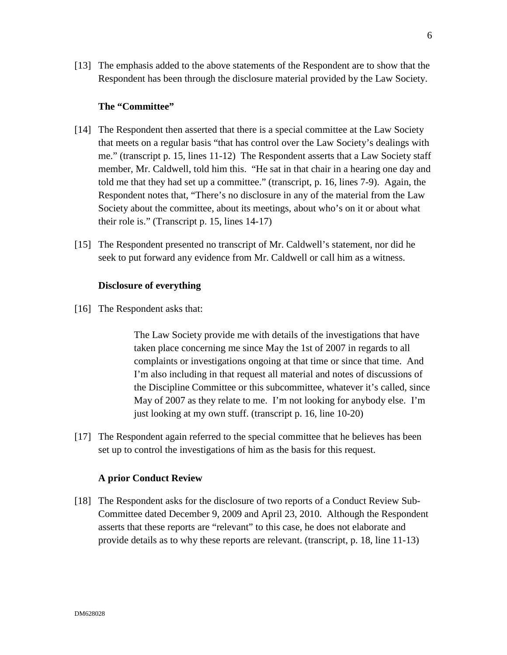[13] The emphasis added to the above statements of the Respondent are to show that the Respondent has been through the disclosure material provided by the Law Society.

#### **The "Committee"**

- [14] The Respondent then asserted that there is a special committee at the Law Society that meets on a regular basis "that has control over the Law Society's dealings with me." (transcript p. 15, lines 11-12) The Respondent asserts that a Law Society staff member, Mr. Caldwell, told him this. "He sat in that chair in a hearing one day and told me that they had set up a committee." (transcript, p. 16, lines 7-9). Again, the Respondent notes that, "There's no disclosure in any of the material from the Law Society about the committee, about its meetings, about who's on it or about what their role is." (Transcript p. 15, lines 14-17)
- [15] The Respondent presented no transcript of Mr. Caldwell's statement, nor did he seek to put forward any evidence from Mr. Caldwell or call him as a witness.

## **Disclosure of everything**

[16] The Respondent asks that:

The Law Society provide me with details of the investigations that have taken place concerning me since May the 1st of 2007 in regards to all complaints or investigations ongoing at that time or since that time. And I'm also including in that request all material and notes of discussions of the Discipline Committee or this subcommittee, whatever it's called, since May of 2007 as they relate to me. I'm not looking for anybody else. I'm just looking at my own stuff. (transcript p. 16, line 10-20)

[17] The Respondent again referred to the special committee that he believes has been set up to control the investigations of him as the basis for this request.

#### **A prior Conduct Review**

[18] The Respondent asks for the disclosure of two reports of a Conduct Review Sub-Committee dated December 9, 2009 and April 23, 2010. Although the Respondent asserts that these reports are "relevant" to this case, he does not elaborate and provide details as to why these reports are relevant. (transcript, p. 18, line 11-13)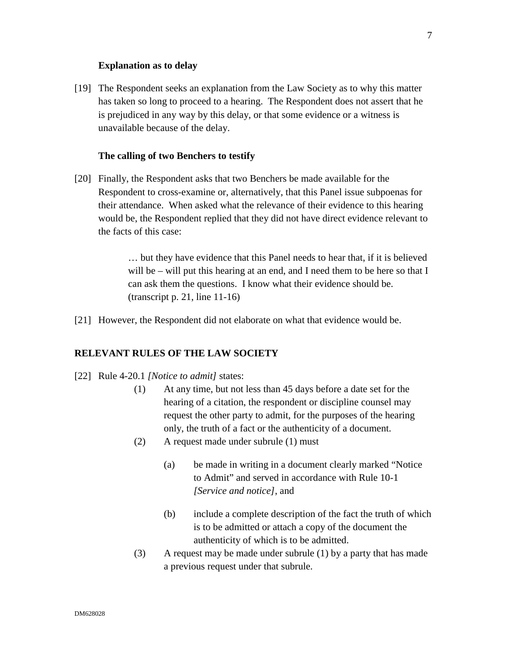#### **Explanation as to delay**

[19] The Respondent seeks an explanation from the Law Society as to why this matter has taken so long to proceed to a hearing. The Respondent does not assert that he is prejudiced in any way by this delay, or that some evidence or a witness is unavailable because of the delay.

#### **The calling of two Benchers to testify**

[20] Finally, the Respondent asks that two Benchers be made available for the Respondent to cross-examine or, alternatively, that this Panel issue subpoenas for their attendance. When asked what the relevance of their evidence to this hearing would be, the Respondent replied that they did not have direct evidence relevant to the facts of this case:

> … but they have evidence that this Panel needs to hear that, if it is believed will be – will put this hearing at an end, and I need them to be here so that I can ask them the questions. I know what their evidence should be. (transcript p. 21, line 11-16)

[21] However, the Respondent did not elaborate on what that evidence would be.

## **RELEVANT RULES OF THE LAW SOCIETY**

- [22] Rule 4-20.1 *[Notice to admit]* states:
	- (1) At any time, but not less than 45 days before a date set for the hearing of a citation, the respondent or discipline counsel may request the other party to admit, for the purposes of the hearing only, the truth of a fact or the authenticity of a document.
	- (2) A request made under subrule (1) must
		- (a) be made in writing in a document clearly marked "Notice to Admit" and served in accordance with Rule 10-1 *[Service and notice]*, and
		- (b) include a complete description of the fact the truth of which is to be admitted or attach a copy of the document the authenticity of which is to be admitted.
	- (3) A request may be made under subrule (1) by a party that has made a previous request under that subrule.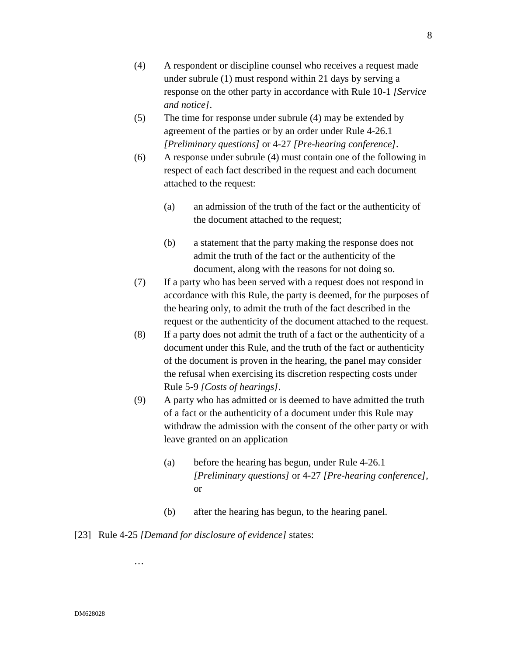- (4) A respondent or discipline counsel who receives a request made under subrule (1) must respond within 21 days by serving a response on the other party in accordance with Rule 10-1 *[Service and notice]*.
- (5) The time for response under subrule (4) may be extended by agreement of the parties or by an order under Rule 4-26.1 *[Preliminary questions]* or 4-27 *[Pre-hearing conference]*.
- (6) A response under subrule (4) must contain one of the following in respect of each fact described in the request and each document attached to the request:
	- (a) an admission of the truth of the fact or the authenticity of the document attached to the request;
	- (b) a statement that the party making the response does not admit the truth of the fact or the authenticity of the document, along with the reasons for not doing so.
- (7) If a party who has been served with a request does not respond in accordance with this Rule, the party is deemed, for the purposes of the hearing only, to admit the truth of the fact described in the request or the authenticity of the document attached to the request.
- (8) If a party does not admit the truth of a fact or the authenticity of a document under this Rule, and the truth of the fact or authenticity of the document is proven in the hearing, the panel may consider the refusal when exercising its discretion respecting costs under Rule 5-9 *[Costs of hearings]*.
- (9) A party who has admitted or is deemed to have admitted the truth of a fact or the authenticity of a document under this Rule may withdraw the admission with the consent of the other party or with leave granted on an application
	- (a) before the hearing has begun, under Rule 4-26.1 *[Preliminary questions]* or 4-27 *[Pre-hearing conference]*, or
	- (b) after the hearing has begun, to the hearing panel.
- [23] Rule 4-25 *[Demand for disclosure of evidence]* states:

…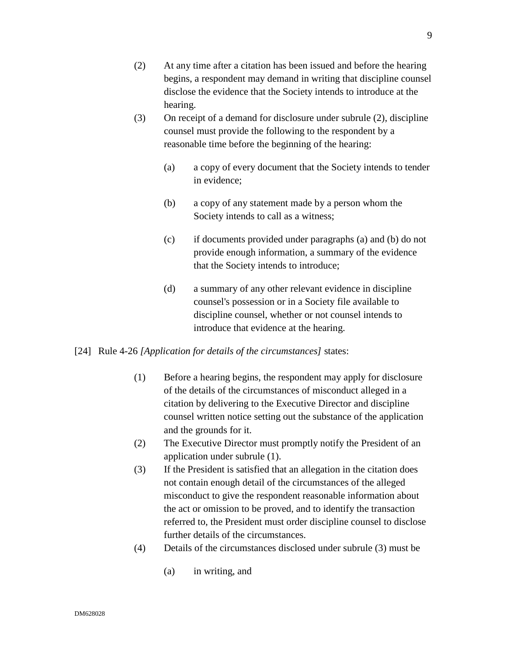- (2) At any time after a citation has been issued and before the hearing begins, a respondent may demand in writing that discipline counsel disclose the evidence that the Society intends to introduce at the hearing.
- (3) On receipt of a demand for disclosure under subrule (2), discipline counsel must provide the following to the respondent by a reasonable time before the beginning of the hearing:
	- (a) a copy of every document that the Society intends to tender in evidence;
	- (b) a copy of any statement made by a person whom the Society intends to call as a witness;
	- (c) if documents provided under paragraphs (a) and (b) do not provide enough information, a summary of the evidence that the Society intends to introduce;
	- (d) a summary of any other relevant evidence in discipline counsel's possession or in a Society file available to discipline counsel, whether or not counsel intends to introduce that evidence at the hearing.

## [24] Rule 4-26 *[Application for details of the circumstances]* states:

- (1) Before a hearing begins, the respondent may apply for disclosure of the details of the circumstances of misconduct alleged in a citation by delivering to the Executive Director and discipline counsel written notice setting out the substance of the application and the grounds for it.
- (2) The Executive Director must promptly notify the President of an application under subrule (1).
- (3) If the President is satisfied that an allegation in the citation does not contain enough detail of the circumstances of the alleged misconduct to give the respondent reasonable information about the act or omission to be proved, and to identify the transaction referred to, the President must order discipline counsel to disclose further details of the circumstances.
- (4) Details of the circumstances disclosed under subrule (3) must be
	- (a) in writing, and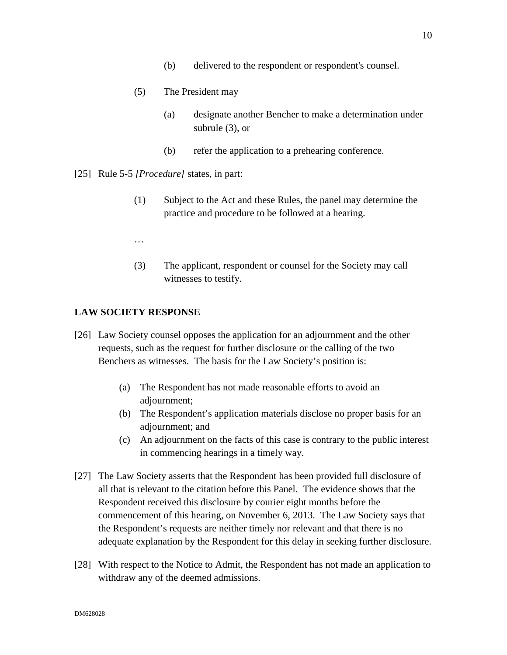- (5) The President may
	- (a) designate another Bencher to make a determination under subrule (3), or
	- (b) refer the application to a prehearing conference.
- [25] Rule 5-5 *[Procedure]* states, in part:
	- (1) Subject to the Act and these Rules, the panel may determine the practice and procedure to be followed at a hearing.
	- …
	- (3) The applicant, respondent or counsel for the Society may call witnesses to testify.

# **LAW SOCIETY RESPONSE**

- [26] Law Society counsel opposes the application for an adjournment and the other requests, such as the request for further disclosure or the calling of the two Benchers as witnesses. The basis for the Law Society's position is:
	- (a) The Respondent has not made reasonable efforts to avoid an adjournment;
	- (b) The Respondent's application materials disclose no proper basis for an adjournment; and
	- (c) An adjournment on the facts of this case is contrary to the public interest in commencing hearings in a timely way.
- [27] The Law Society asserts that the Respondent has been provided full disclosure of all that is relevant to the citation before this Panel. The evidence shows that the Respondent received this disclosure by courier eight months before the commencement of this hearing, on November 6, 2013. The Law Society says that the Respondent's requests are neither timely nor relevant and that there is no adequate explanation by the Respondent for this delay in seeking further disclosure.
- [28] With respect to the Notice to Admit, the Respondent has not made an application to withdraw any of the deemed admissions.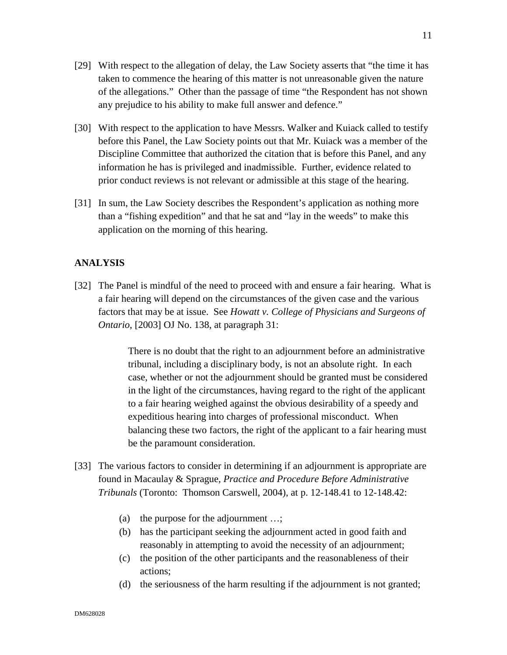- [29] With respect to the allegation of delay, the Law Society asserts that "the time it has taken to commence the hearing of this matter is not unreasonable given the nature of the allegations." Other than the passage of time "the Respondent has not shown any prejudice to his ability to make full answer and defence."
- [30] With respect to the application to have Messrs. Walker and Kuiack called to testify before this Panel, the Law Society points out that Mr. Kuiack was a member of the Discipline Committee that authorized the citation that is before this Panel, and any information he has is privileged and inadmissible. Further, evidence related to prior conduct reviews is not relevant or admissible at this stage of the hearing.
- [31] In sum, the Law Society describes the Respondent's application as nothing more than a "fishing expedition" and that he sat and "lay in the weeds" to make this application on the morning of this hearing.

# **ANALYSIS**

[32] The Panel is mindful of the need to proceed with and ensure a fair hearing. What is a fair hearing will depend on the circumstances of the given case and the various factors that may be at issue. See *Howatt v. College of Physicians and Surgeons of Ontario*, [2003] OJ No. 138, at paragraph 31:

> There is no doubt that the right to an adjournment before an administrative tribunal, including a disciplinary body, is not an absolute right. In each case, whether or not the adjournment should be granted must be considered in the light of the circumstances, having regard to the right of the applicant to a fair hearing weighed against the obvious desirability of a speedy and expeditious hearing into charges of professional misconduct. When balancing these two factors, the right of the applicant to a fair hearing must be the paramount consideration.

- [33] The various factors to consider in determining if an adjournment is appropriate are found in Macaulay & Sprague*, Practice and Procedure Before Administrative Tribunals* (Toronto: Thomson Carswell, 2004), at p. 12-148.41 to 12-148.42:
	- (a) the purpose for the adjournment …;
	- (b) has the participant seeking the adjournment acted in good faith and reasonably in attempting to avoid the necessity of an adjournment;
	- (c) the position of the other participants and the reasonableness of their actions;
	- (d) the seriousness of the harm resulting if the adjournment is not granted;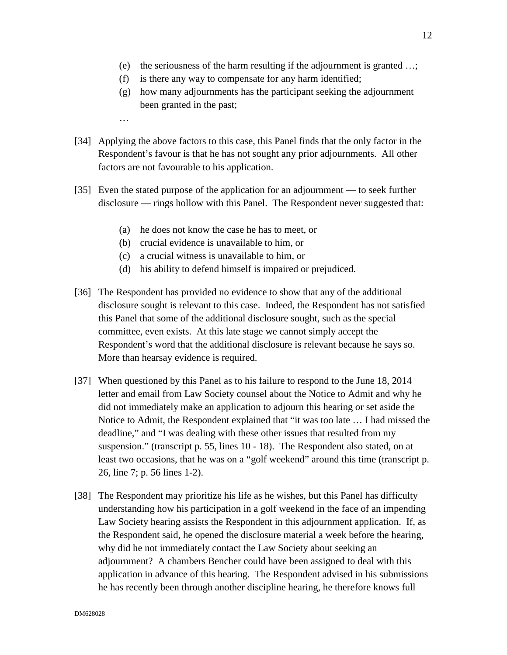- (e) the seriousness of the harm resulting if the adjournment is granted …;
- (f) is there any way to compensate for any harm identified;
- (g) how many adjournments has the participant seeking the adjournment been granted in the past;
- …
- [34] Applying the above factors to this case, this Panel finds that the only factor in the Respondent's favour is that he has not sought any prior adjournments. All other factors are not favourable to his application.
- [35] Even the stated purpose of the application for an adjournment to seek further disclosure — rings hollow with this Panel. The Respondent never suggested that:
	- (a) he does not know the case he has to meet, or
	- (b) crucial evidence is unavailable to him, or
	- (c) a crucial witness is unavailable to him, or
	- (d) his ability to defend himself is impaired or prejudiced.
- [36] The Respondent has provided no evidence to show that any of the additional disclosure sought is relevant to this case. Indeed, the Respondent has not satisfied this Panel that some of the additional disclosure sought, such as the special committee, even exists. At this late stage we cannot simply accept the Respondent's word that the additional disclosure is relevant because he says so. More than hearsay evidence is required.
- [37] When questioned by this Panel as to his failure to respond to the June 18, 2014 letter and email from Law Society counsel about the Notice to Admit and why he did not immediately make an application to adjourn this hearing or set aside the Notice to Admit, the Respondent explained that "it was too late … I had missed the deadline," and "I was dealing with these other issues that resulted from my suspension." (transcript p. 55, lines 10 - 18). The Respondent also stated, on at least two occasions, that he was on a "golf weekend" around this time (transcript p. 26, line 7; p. 56 lines 1-2).
- [38] The Respondent may prioritize his life as he wishes, but this Panel has difficulty understanding how his participation in a golf weekend in the face of an impending Law Society hearing assists the Respondent in this adjournment application. If, as the Respondent said, he opened the disclosure material a week before the hearing, why did he not immediately contact the Law Society about seeking an adjournment? A chambers Bencher could have been assigned to deal with this application in advance of this hearing. The Respondent advised in his submissions he has recently been through another discipline hearing, he therefore knows full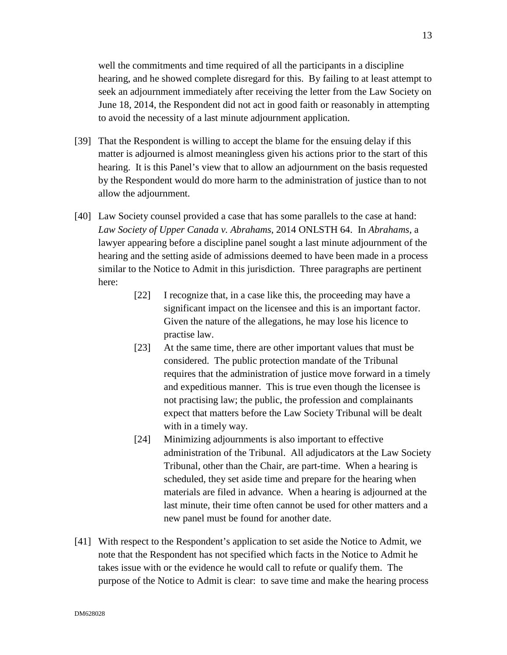well the commitments and time required of all the participants in a discipline hearing, and he showed complete disregard for this. By failing to at least attempt to seek an adjournment immediately after receiving the letter from the Law Society on June 18, 2014, the Respondent did not act in good faith or reasonably in attempting to avoid the necessity of a last minute adjournment application.

- [39] That the Respondent is willing to accept the blame for the ensuing delay if this matter is adjourned is almost meaningless given his actions prior to the start of this hearing. It is this Panel's view that to allow an adjournment on the basis requested by the Respondent would do more harm to the administration of justice than to not allow the adjournment.
- [40] Law Society counsel provided a case that has some parallels to the case at hand: *Law Society of Upper Canada v. Abrahams*, 2014 ONLSTH 64. In *Abrahams*, a lawyer appearing before a discipline panel sought a last minute adjournment of the hearing and the setting aside of admissions deemed to have been made in a process similar to the Notice to Admit in this jurisdiction. Three paragraphs are pertinent here:
	- [22] I recognize that, in a case like this, the proceeding may have a significant impact on the licensee and this is an important factor. Given the nature of the allegations, he may lose his licence to practise law.
	- [23] At the same time, there are other important values that must be considered. The public protection mandate of the Tribunal requires that the administration of justice move forward in a timely and expeditious manner. This is true even though the licensee is not practising law; the public, the profession and complainants expect that matters before the Law Society Tribunal will be dealt with in a timely way.
	- [24] Minimizing adjournments is also important to effective administration of the Tribunal. All adjudicators at the Law Society Tribunal, other than the Chair, are part-time. When a hearing is scheduled, they set aside time and prepare for the hearing when materials are filed in advance. When a hearing is adjourned at the last minute, their time often cannot be used for other matters and a new panel must be found for another date.
- [41] With respect to the Respondent's application to set aside the Notice to Admit, we note that the Respondent has not specified which facts in the Notice to Admit he takes issue with or the evidence he would call to refute or qualify them. The purpose of the Notice to Admit is clear: to save time and make the hearing process